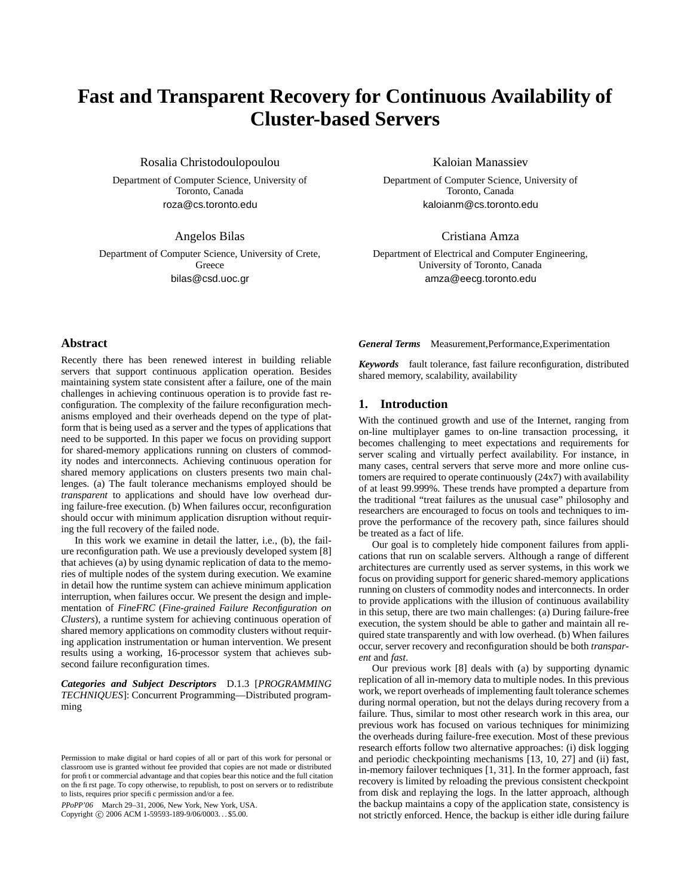# **Fast and Transparent Recovery for Continuous Availability of Cluster-based Servers**

Rosalia Christodoulopoulou

Department of Computer Science, University of Toronto, Canada roza@cs.toronto.edu

Angelos Bilas

Department of Computer Science, University of Crete, **Greece** bilas@csd.uoc.gr

Kaloian Manassiev

Department of Computer Science, University of Toronto, Canada kaloianm@cs.toronto.edu

Cristiana Amza

Department of Electrical and Computer Engineering, University of Toronto, Canada amza@eecg.toronto.edu

# **Abstract**

Recently there has been renewed interest in building reliable servers that support continuous application operation. Besides maintaining system state consistent after a failure, one of the main challenges in achieving continuous operation is to provide fast reconfiguration. The complexity of the failure reconfiguration mechanisms employed and their overheads depend on the type of platform that is being used as a server and the types of applications that need to be supported. In this paper we focus on providing support for shared-memory applications running on clusters of commodity nodes and interconnects. Achieving continuous operation for shared memory applications on clusters presents two main challenges. (a) The fault tolerance mechanisms employed should be *transparent* to applications and should have low overhead during failure-free execution. (b) When failures occur, reconfiguration should occur with minimum application disruption without requiring the full recovery of the failed node.

In this work we examine in detail the latter, i.e., (b), the failure reconfiguration path. We use a previously developed system [8] that achieves (a) by using dynamic replication of data to the memories of multiple nodes of the system during execution. We examine in detail how the runtime system can achieve minimum application interruption, when failures occur. We present the design and implementation of *FineFRC* (*Fine-grained Failure Reconfiguration on Clusters*), a runtime system for achieving continuous operation of shared memory applications on commodity clusters without requiring application instrumentation or human intervention. We present results using a working, 16-processor system that achieves subsecond failure reconfiguration times.

*Categories and Subject Descriptors* D.1.3 [*PROGRAMMING TECHNIQUES*]: Concurrent Programming—Distributed programming

PPoPP'06 March 29–31, 2006, New York, New York, USA. Copyright © 2006 ACM 1-59593-189-9/06/0003... \$5.00.

*General Terms* Measurement,Performance,Experimentation

*Keywords* fault tolerance, fast failure reconfiguration, distributed shared memory, scalability, availability

# **1. Introduction**

With the continued growth and use of the Internet, ranging from on-line multiplayer games to on-line transaction processing, it becomes challenging to meet expectations and requirements for server scaling and virtually perfect availability. For instance, in many cases, central servers that serve more and more online customers are required to operate continuously (24x7) with availability of at least 99.999%. These trends have prompted a departure from the traditional "treat failures as the unusual case" philosophy and researchers are encouraged to focus on tools and techniques to improve the performance of the recovery path, since failures should be treated as a fact of life.

Our goal is to completely hide component failures from applications that run on scalable servers. Although a range of different architectures are currently used as server systems, in this work we focus on providing support for generic shared-memory applications running on clusters of commodity nodes and interconnects. In order to provide applications with the illusion of continuous availability in this setup, there are two main challenges: (a) During failure-free execution, the system should be able to gather and maintain all required state transparently and with low overhead. (b) When failures occur, server recovery and reconfiguration should be both *transparent* and *fast*.

Our previous work [8] deals with (a) by supporting dynamic replication of all in-memory data to multiple nodes. In this previous work, we report overheads of implementing fault tolerance schemes during normal operation, but not the delays during recovery from a failure. Thus, similar to most other research work in this area, our previous work has focused on various techniques for minimizing the overheads during failure-free execution. Most of these previous research efforts follow two alternative approaches: (i) disk logging and periodic checkpointing mechanisms [13, 10, 27] and (ii) fast, in-memory failover techniques [1, 31]. In the former approach, fast recovery is limited by reloading the previous consistent checkpoint from disk and replaying the logs. In the latter approach, although the backup maintains a copy of the application state, consistency is not strictly enforced. Hence, the backup is either idle during failure

Permission to make digital or hard copies of all or part of this work for personal or classroom use is granted without fee provided that copies are not made or distributed for profit or commercial advantage and that copies bear this notice and the full citation on the first page. To copy otherwise, to republish, to post on servers or to redistribute to lists, requires prior specific permission and/or a fee.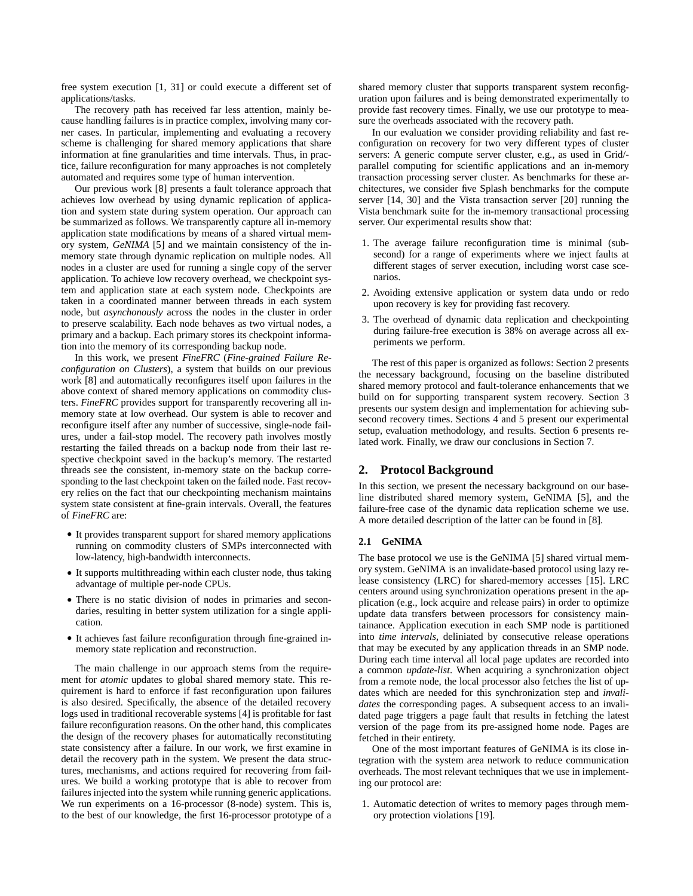free system execution [1, 31] or could execute a different set of applications/tasks.

The recovery path has received far less attention, mainly because handling failures is in practice complex, involving many corner cases. In particular, implementing and evaluating a recovery scheme is challenging for shared memory applications that share information at fine granularities and time intervals. Thus, in practice, failure reconfiguration for many approaches is not completely automated and requires some type of human intervention.

Our previous work [8] presents a fault tolerance approach that achieves low overhead by using dynamic replication of application and system state during system operation. Our approach can be summarized as follows. We transparently capture all in-memory application state modifications by means of a shared virtual memory system, *GeNIMA* [5] and we maintain consistency of the inmemory state through dynamic replication on multiple nodes. All nodes in a cluster are used for running a single copy of the server application. To achieve low recovery overhead, we checkpoint system and application state at each system node. Checkpoints are taken in a coordinated manner between threads in each system node, but *asynchonously* across the nodes in the cluster in order to preserve scalability. Each node behaves as two virtual nodes, a primary and a backup. Each primary stores its checkpoint information into the memory of its corresponding backup node.

In this work, we present *FineFRC* (*Fine-grained Failure Reconfiguration on Clusters*), a system that builds on our previous work [8] and automatically reconfigures itself upon failures in the above context of shared memory applications on commodity clusters. *FineFRC* provides support for transparently recovering all inmemory state at low overhead. Our system is able to recover and reconfigure itself after any number of successive, single-node failures, under a fail-stop model. The recovery path involves mostly restarting the failed threads on a backup node from their last respective checkpoint saved in the backup's memory. The restarted threads see the consistent, in-memory state on the backup corresponding to the last checkpoint taken on the failed node. Fast recovery relies on the fact that our checkpointing mechanism maintains system state consistent at fine-grain intervals. Overall, the features of *FineFRC* are:

- It provides transparent support for shared memory applications running on commodity clusters of SMPs interconnected with low-latency, high-bandwidth interconnects.
- It supports multithreading within each cluster node, thus taking advantage of multiple per-node CPUs.
- There is no static division of nodes in primaries and secondaries, resulting in better system utilization for a single application.
- It achieves fast failure reconfiguration through fine-grained inmemory state replication and reconstruction.

The main challenge in our approach stems from the requirement for *atomic* updates to global shared memory state. This requirement is hard to enforce if fast reconfiguration upon failures is also desired. Specifically, the absence of the detailed recovery logs used in traditional recoverable systems [4] is profitable for fast failure reconfiguration reasons. On the other hand, this complicates the design of the recovery phases for automatically reconstituting state consistency after a failure. In our work, we first examine in detail the recovery path in the system. We present the data structures, mechanisms, and actions required for recovering from failures. We build a working prototype that is able to recover from failures injected into the system while running generic applications. We run experiments on a 16-processor (8-node) system. This is, to the best of our knowledge, the first 16-processor prototype of a shared memory cluster that supports transparent system reconfiguration upon failures and is being demonstrated experimentally to provide fast recovery times. Finally, we use our prototype to measure the overheads associated with the recovery path.

In our evaluation we consider providing reliability and fast reconfiguration on recovery for two very different types of cluster servers: A generic compute server cluster, e.g., as used in Grid/ parallel computing for scientific applications and an in-memory transaction processing server cluster. As benchmarks for these architectures, we consider five Splash benchmarks for the compute server [14, 30] and the Vista transaction server [20] running the Vista benchmark suite for the in-memory transactional processing server. Our experimental results show that:

- 1. The average failure reconfiguration time is minimal (subsecond) for a range of experiments where we inject faults at different stages of server execution, including worst case scenarios.
- 2. Avoiding extensive application or system data undo or redo upon recovery is key for providing fast recovery.
- 3. The overhead of dynamic data replication and checkpointing during failure-free execution is 38% on average across all experiments we perform.

The rest of this paper is organized as follows: Section 2 presents the necessary background, focusing on the baseline distributed shared memory protocol and fault-tolerance enhancements that we build on for supporting transparent system recovery. Section 3 presents our system design and implementation for achieving subsecond recovery times. Sections 4 and 5 present our experimental setup, evaluation methodology, and results. Section 6 presents related work. Finally, we draw our conclusions in Section 7.

## **2. Protocol Background**

In this section, we present the necessary background on our baseline distributed shared memory system, GeNIMA [5], and the failure-free case of the dynamic data replication scheme we use. A more detailed description of the latter can be found in [8].

## **2.1 GeNIMA**

The base protocol we use is the GeNIMA [5] shared virtual memory system. GeNIMA is an invalidate-based protocol using lazy release consistency (LRC) for shared-memory accesses [15]. LRC centers around using synchronization operations present in the application (e.g., lock acquire and release pairs) in order to optimize update data transfers between processors for consistency maintainance. Application execution in each SMP node is partitioned into *time intervals*, deliniated by consecutive release operations that may be executed by any application threads in an SMP node. During each time interval all local page updates are recorded into a common *update-list*. When acquiring a synchronization object from a remote node, the local processor also fetches the list of updates which are needed for this synchronization step and *invalidates* the corresponding pages. A subsequent access to an invalidated page triggers a page fault that results in fetching the latest version of the page from its pre-assigned home node. Pages are fetched in their entirety.

One of the most important features of GeNIMA is its close integration with the system area network to reduce communication overheads. The most relevant techniques that we use in implementing our protocol are:

1. Automatic detection of writes to memory pages through memory protection violations [19].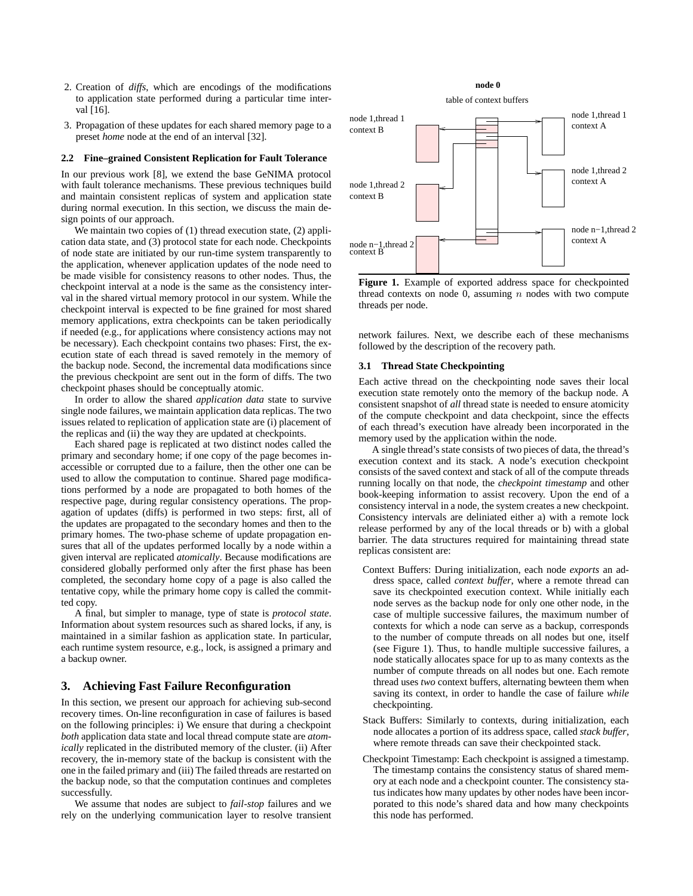- 2. Creation of *diffs*, which are encodings of the modifications to application state performed during a particular time interval [16].
- 3. Propagation of these updates for each shared memory page to a preset *home* node at the end of an interval [32].

#### **2.2 Fine–grained Consistent Replication for Fault Tolerance**

In our previous work [8], we extend the base GeNIMA protocol with fault tolerance mechanisms. These previous techniques build and maintain consistent replicas of system and application state during normal execution. In this section, we discuss the main design points of our approach.

We maintain two copies of (1) thread execution state, (2) application data state, and (3) protocol state for each node. Checkpoints of node state are initiated by our run-time system transparently to the application, whenever application updates of the node need to be made visible for consistency reasons to other nodes. Thus, the checkpoint interval at a node is the same as the consistency interval in the shared virtual memory protocol in our system. While the checkpoint interval is expected to be fine grained for most shared memory applications, extra checkpoints can be taken periodically if needed (e.g., for applications where consistency actions may not be necessary). Each checkpoint contains two phases: First, the execution state of each thread is saved remotely in the memory of the backup node. Second, the incremental data modifications since the previous checkpoint are sent out in the form of diffs. The two checkpoint phases should be conceptually atomic.

In order to allow the shared *application data* state to survive single node failures, we maintain application data replicas. The two issues related to replication of application state are (i) placement of the replicas and (ii) the way they are updated at checkpoints.

Each shared page is replicated at two distinct nodes called the primary and secondary home; if one copy of the page becomes inaccessible or corrupted due to a failure, then the other one can be used to allow the computation to continue. Shared page modifications performed by a node are propagated to both homes of the respective page, during regular consistency operations. The propagation of updates (diffs) is performed in two steps: first, all of the updates are propagated to the secondary homes and then to the primary homes. The two-phase scheme of update propagation ensures that all of the updates performed locally by a node within a given interval are replicated *atomically*. Because modifications are considered globally performed only after the first phase has been completed, the secondary home copy of a page is also called the tentative copy, while the primary home copy is called the committed copy.

A final, but simpler to manage, type of state is *protocol state*. Information about system resources such as shared locks, if any, is maintained in a similar fashion as application state. In particular, each runtime system resource, e.g., lock, is assigned a primary and a backup owner.

## **3. Achieving Fast Failure Reconfiguration**

In this section, we present our approach for achieving sub-second recovery times. On-line reconfiguration in case of failures is based on the following principles: i) We ensure that during a checkpoint *both* application data state and local thread compute state are *atomically* replicated in the distributed memory of the cluster. (ii) After recovery, the in-memory state of the backup is consistent with the one in the failed primary and (iii) The failed threads are restarted on the backup node, so that the computation continues and completes successfully.

We assume that nodes are subject to *fail-stop* failures and we rely on the underlying communication layer to resolve transient

#### **node 0**

table of context buffers



**Figure 1.** Example of exported address space for checkpointed thread contexts on node 0, assuming  $n$  nodes with two compute threads per node.

network failures. Next, we describe each of these mechanisms followed by the description of the recovery path.

#### **3.1 Thread State Checkpointing**

Each active thread on the checkpointing node saves their local execution state remotely onto the memory of the backup node. A consistent snapshot of *all* thread state is needed to ensure atomicity of the compute checkpoint and data checkpoint, since the effects of each thread's execution have already been incorporated in the memory used by the application within the node.

A single thread's state consists of two pieces of data, the thread's execution context and its stack. A node's execution checkpoint consists of the saved context and stack of all of the compute threads running locally on that node, the *checkpoint timestamp* and other book-keeping information to assist recovery. Upon the end of a consistency interval in a node, the system creates a new checkpoint. Consistency intervals are deliniated either a) with a remote lock release performed by any of the local threads or b) with a global barrier. The data structures required for maintaining thread state replicas consistent are:

- Context Buffers: During initialization, each node *exports* an address space, called *context buffer*, where a remote thread can save its checkpointed execution context. While initially each node serves as the backup node for only one other node, in the case of multiple successive failures, the maximum number of contexts for which a node can serve as a backup, corresponds to the number of compute threads on all nodes but one, itself (see Figure 1). Thus, to handle multiple successive failures, a node statically allocates space for up to as many contexts as the number of compute threads on all nodes but one. Each remote thread uses *two* context buffers, alternating bewteen them when saving its context, in order to handle the case of failure *while* checkpointing.
- Stack Buffers: Similarly to contexts, during initialization, each node allocates a portion of its address space, called *stack buffer*, where remote threads can save their checkpointed stack.
- Checkpoint Timestamp: Each checkpoint is assigned a timestamp. The timestamp contains the consistency status of shared memory at each node and a checkpoint counter. The consistency status indicates how many updates by other nodes have been incorporated to this node's shared data and how many checkpoints this node has performed.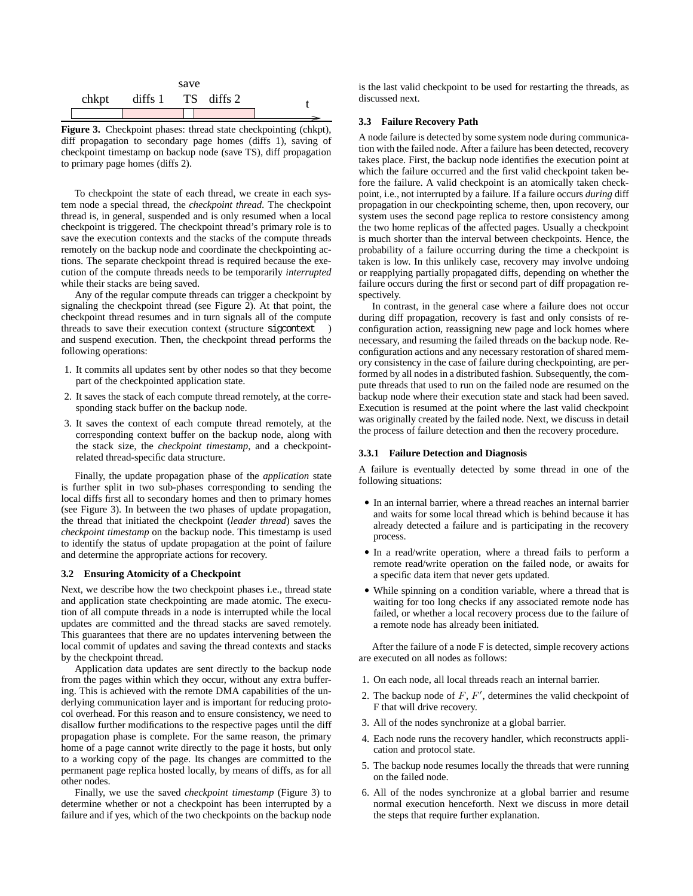

**Figure 3.** Checkpoint phases: thread state checkpointing (chkpt), diff propagation to secondary page homes (diffs 1), saving of checkpoint timestamp on backup node (save TS), diff propagation to primary page homes (diffs 2).

To checkpoint the state of each thread, we create in each system node a special thread, the *checkpoint thread*. The checkpoint thread is, in general, suspended and is only resumed when a local checkpoint is triggered. The checkpoint thread's primary role is to save the execution contexts and the stacks of the compute threads remotely on the backup node and coordinate the checkpointing actions. The separate checkpoint thread is required because the execution of the compute threads needs to be temporarily *interrupted* while their stacks are being saved.

Any of the regular compute threads can trigger a checkpoint by signaling the checkpoint thread (see Figure 2). At that point, the checkpoint thread resumes and in turn signals all of the compute threads to save their execution context (structure sigcontext) and suspend execution. Then, the checkpoint thread performs the following operations:

- 1. It commits all updates sent by other nodes so that they become part of the checkpointed application state.
- 2. It saves the stack of each compute thread remotely, at the corresponding stack buffer on the backup node.
- 3. It saves the context of each compute thread remotely, at the corresponding context buffer on the backup node, along with the stack size, the *checkpoint timestamp*, and a checkpointrelated thread-specific data structure.

Finally, the update propagation phase of the *application* state is further split in two sub-phases corresponding to sending the local diffs first all to secondary homes and then to primary homes (see Figure 3). In between the two phases of update propagation, the thread that initiated the checkpoint (*leader thread*) saves the *checkpoint timestamp* on the backup node. This timestamp is used to identify the status of update propagation at the point of failure and determine the appropriate actions for recovery.

#### **3.2 Ensuring Atomicity of a Checkpoint**

Next, we describe how the two checkpoint phases i.e., thread state and application state checkpointing are made atomic. The execution of all compute threads in a node is interrupted while the local updates are committed and the thread stacks are saved remotely. This guarantees that there are no updates intervening between the local commit of updates and saving the thread contexts and stacks by the checkpoint thread.

Application data updates are sent directly to the backup node from the pages within which they occur, without any extra buffering. This is achieved with the remote DMA capabilities of the underlying communication layer and is important for reducing protocol overhead. For this reason and to ensure consistency, we need to disallow further modifications to the respective pages until the diff propagation phase is complete. For the same reason, the primary home of a page cannot write directly to the page it hosts, but only to a working copy of the page. Its changes are committed to the permanent page replica hosted locally, by means of diffs, as for all other nodes.

Finally, we use the saved *checkpoint timestamp* (Figure 3) to determine whether or not a checkpoint has been interrupted by a failure and if yes, which of the two checkpoints on the backup node is the last valid checkpoint to be used for restarting the threads, as discussed next.

#### **3.3 Failure Recovery Path**

A node failure is detected by some system node during communication with the failed node. After a failure has been detected, recovery takes place. First, the backup node identifies the execution point at which the failure occurred and the first valid checkpoint taken before the failure. A valid checkpoint is an atomically taken checkpoint, i.e., not interrupted by a failure. If a failure occurs *during* diff propagation in our checkpointing scheme, then, upon recovery, our system uses the second page replica to restore consistency among the two home replicas of the affected pages. Usually a checkpoint is much shorter than the interval between checkpoints. Hence, the probability of a failure occurring during the time a checkpoint is taken is low. In this unlikely case, recovery may involve undoing or reapplying partially propagated diffs, depending on whether the failure occurs during the first or second part of diff propagation respectively.

In contrast, in the general case where a failure does not occur during diff propagation, recovery is fast and only consists of reconfiguration action, reassigning new page and lock homes where necessary, and resuming the failed threads on the backup node. Reconfiguration actions and any necessary restoration of shared memory consistency in the case of failure during checkpointing, are performed by all nodes in a distributed fashion. Subsequently, the compute threads that used to run on the failed node are resumed on the backup node where their execution state and stack had been saved. Execution is resumed at the point where the last valid checkpoint was originally created by the failed node. Next, we discuss in detail the process of failure detection and then the recovery procedure.

#### **3.3.1 Failure Detection and Diagnosis**

A failure is eventually detected by some thread in one of the following situations:

- In an internal barrier, where a thread reaches an internal barrier and waits for some local thread which is behind because it has already detected a failure and is participating in the recovery process.
- In a read/write operation, where a thread fails to perform a remote read/write operation on the failed node, or awaits for a specific data item that never gets updated.
- While spinning on a condition variable, where a thread that is waiting for too long checks if any associated remote node has failed, or whether a local recovery process due to the failure of a remote node has already been initiated.

After the failure of a node F is detected, simple recovery actions are executed on all nodes as follows:

- 1. On each node, all local threads reach an internal barrier.
- 2. The backup node of  $F, F'$ , determines the valid checkpoint of F that will drive recovery.
- 3. All of the nodes synchronize at a global barrier.
- 4. Each node runs the recovery handler, which reconstructs application and protocol state.
- 5. The backup node resumes locally the threads that were running on the failed node.
- 6. All of the nodes synchronize at a global barrier and resume normal execution henceforth. Next we discuss in more detail the steps that require further explanation.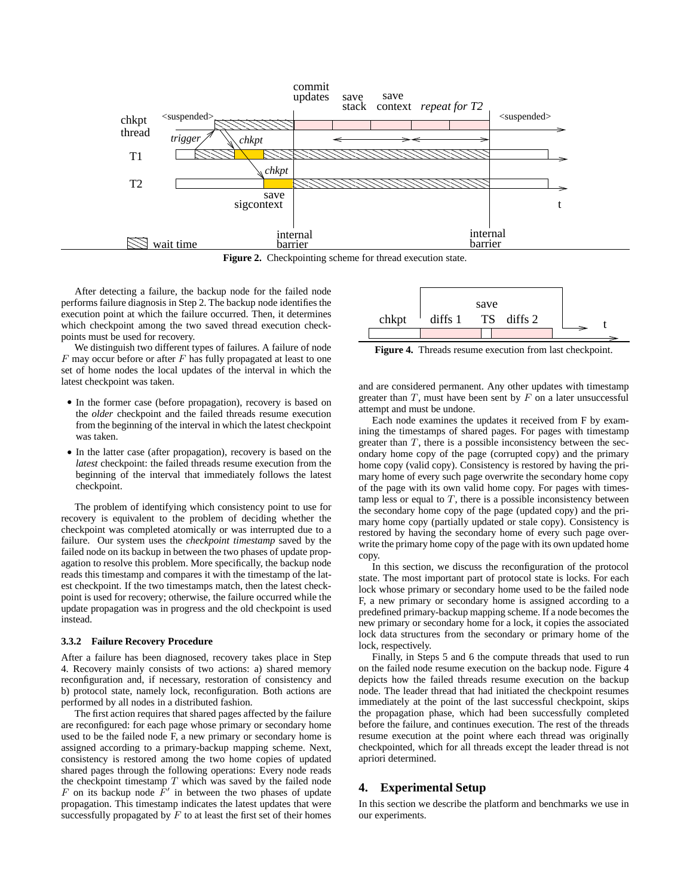

**Figure 2.** Checkpointing scheme for thread execution state.

After detecting a failure, the backup node for the failed node performs failure diagnosis in Step 2. The backup node identifies the execution point at which the failure occurred. Then, it determines which checkpoint among the two saved thread execution checkpoints must be used for recovery.

We distinguish two different types of failures. A failure of node  $F$  may occur before or after  $F$  has fully propagated at least to one set of home nodes the local updates of the interval in which the latest checkpoint was taken.

- In the former case (before propagation), recovery is based on the *older* checkpoint and the failed threads resume execution from the beginning of the interval in which the latest checkpoint was taken.
- In the latter case (after propagation), recovery is based on the *latest* checkpoint: the failed threads resume execution from the beginning of the interval that immediately follows the latest checkpoint.

The problem of identifying which consistency point to use for recovery is equivalent to the problem of deciding whether the checkpoint was completed atomically or was interrupted due to a failure. Our system uses the *checkpoint timestamp* saved by the failed node on its backup in between the two phases of update propagation to resolve this problem. More specifically, the backup node reads this timestamp and compares it with the timestamp of the latest checkpoint. If the two timestamps match, then the latest checkpoint is used for recovery; otherwise, the failure occurred while the update propagation was in progress and the old checkpoint is used instead.

#### **3.3.2 Failure Recovery Procedure**

After a failure has been diagnosed, recovery takes place in Step 4. Recovery mainly consists of two actions: a) shared memory reconfiguration and, if necessary, restoration of consistency and b) protocol state, namely lock, reconfiguration. Both actions are performed by all nodes in a distributed fashion.

The first action requires that shared pages affected by the failure are reconfigured: for each page whose primary or secondary home used to be the failed node F, a new primary or secondary home is assigned according to a primary-backup mapping scheme. Next, consistency is restored among the two home copies of updated shared pages through the following operations: Every node reads the checkpoint timestamp  $T$  which was saved by the failed node  $F$  on its backup node  $F'$  in between the two phases of update propagation. This timestamp indicates the latest updates that were successfully propagated by  $F$  to at least the first set of their homes



**Figure 4.** Threads resume execution from last checkpoint.

and are considered permanent. Any other updates with timestamp greater than  $T$ , must have been sent by  $F$  on a later unsuccessful attempt and must be undone.

Each node examines the updates it received from F by examining the timestamps of shared pages. For pages with timestamp greater than  $T$ , there is a possible inconsistency between the secondary home copy of the page (corrupted copy) and the primary home copy (valid copy). Consistency is restored by having the primary home of every such page overwrite the secondary home copy of the page with its own valid home copy. For pages with timestamp less or equal to  $T$ , there is a possible inconsistency between the secondary home copy of the page (updated copy) and the primary home copy (partially updated or stale copy). Consistency is restored by having the secondary home of every such page overwrite the primary home copy of the page with its own updated home copy.

In this section, we discuss the reconfiguration of the protocol state. The most important part of protocol state is locks. For each lock whose primary or secondary home used to be the failed node F, a new primary or secondary home is assigned according to a predefined primary-backup mapping scheme. If a node becomes the new primary or secondary home for a lock, it copies the associated lock data structures from the secondary or primary home of the lock, respectively.

Finally, in Steps 5 and 6 the compute threads that used to run on the failed node resume execution on the backup node. Figure 4 depicts how the failed threads resume execution on the backup node. The leader thread that had initiated the checkpoint resumes immediately at the point of the last successful checkpoint, skips the propagation phase, which had been successfully completed before the failure, and continues execution. The rest of the threads resume execution at the point where each thread was originally checkpointed, which for all threads except the leader thread is not apriori determined.

#### **4. Experimental Setup**

In this section we describe the platform and benchmarks we use in our experiments.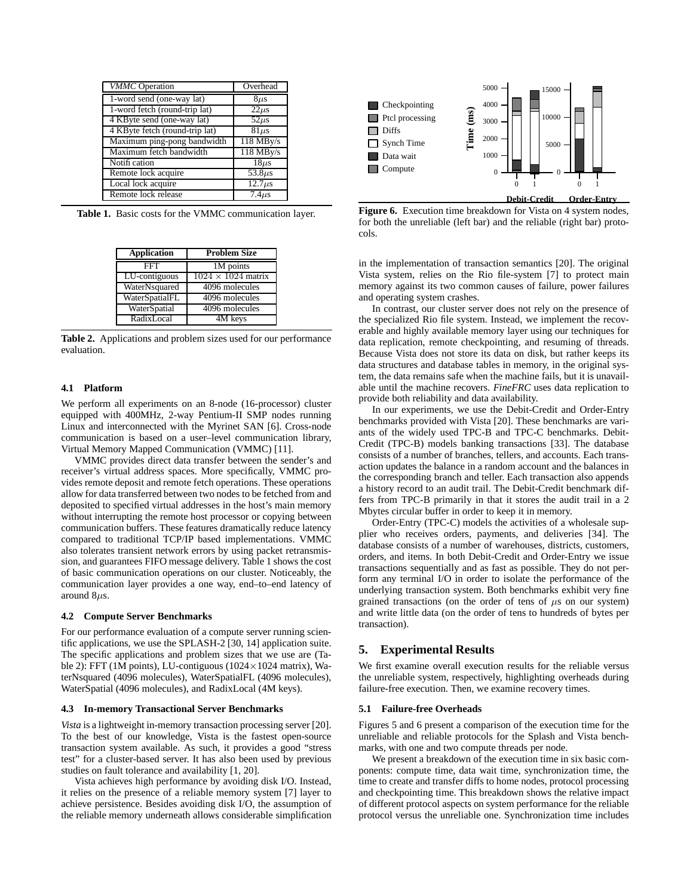| VMMC Operation                 | Overhead     |
|--------------------------------|--------------|
| 1-word send (one-way lat)      | $8\mu s$     |
| 1-word fetch (round-trip lat)  | $22\mu s$    |
| 4 KByte send (one-way lat)     | $52\mu s$    |
| 4 KByte fetch (round-trip lat) | $81 \mu s$   |
| Maximum ping-pong bandwidth    | $118$ MBy/s  |
| Maximum fetch bandwidth        | $118$ MBy/s  |
| Notifi cation                  | $18\mu s$    |
| Remote lock acquire            | 53.8 $\mu$ s |
| Local lock acquire             | $12.7 \mu s$ |
| Remote lock release            | $7.4 \mu s$  |

**Table 1.** Basic costs for the VMMC communication layer.

| <b>Application</b> | <b>Problem Size</b>       |  |
|--------------------|---------------------------|--|
| FFT                | 1M points                 |  |
| LU-contiguous      | $1024 \times 1024$ matrix |  |
| WaterNsquared      | 4096 molecules            |  |
| WaterSpatialFL     | 4096 molecules            |  |
| WaterSpatial       | 4096 molecules            |  |
| RadixLocal         | 4M keys                   |  |

**Table 2.** Applications and problem sizes used for our performance evaluation.

#### **4.1 Platform**

We perform all experiments on an 8-node (16-processor) cluster equipped with 400MHz, 2-way Pentium-II SMP nodes running Linux and interconnected with the Myrinet SAN [6]. Cross-node communication is based on a user–level communication library, Virtual Memory Mapped Communication (VMMC) [11].

VMMC provides direct data transfer between the sender's and receiver's virtual address spaces. More specifically, VMMC provides remote deposit and remote fetch operations. These operations allow for data transferred between two nodes to be fetched from and deposited to specified virtual addresses in the host's main memory without interrupting the remote host processor or copying between communication buffers. These features dramatically reduce latency compared to traditional TCP/IP based implementations. VMMC also tolerates transient network errors by using packet retransmission, and guarantees FIFO message delivery. Table 1 shows the cost of basic communication operations on our cluster. Noticeably, the communication layer provides a one way, end–to–end latency of around  $8\mu s$ .

#### **4.2 Compute Server Benchmarks**

For our performance evaluation of a compute server running scientific applications, we use the SPLASH-2 [30, 14] application suite. The specific applications and problem sizes that we use are (Table 2): FFT (1M points), LU-contiguous (1024 $\times$ 1024 matrix), WaterNsquared (4096 molecules), WaterSpatialFL (4096 molecules), WaterSpatial (4096 molecules), and RadixLocal (4M keys).

#### **4.3 In-memory Transactional Server Benchmarks**

*Vista* is a lightweight in-memory transaction processing server [20]. To the best of our knowledge, Vista is the fastest open-source transaction system available. As such, it provides a good "stress test" for a cluster-based server. It has also been used by previous studies on fault tolerance and availability [1, 20].

Vista achieves high performance by avoiding disk I/O. Instead, it relies on the presence of a reliable memory system [7] layer to achieve persistence. Besides avoiding disk I/O, the assumption of the reliable memory underneath allows considerable simplification



**Figure 6.** Execution time breakdown for Vista on 4 system nodes, for both the unreliable (left bar) and the reliable (right bar) protocols.

in the implementation of transaction semantics [20]. The original Vista system, relies on the Rio file-system [7] to protect main memory against its two common causes of failure, power failures and operating system crashes.

In contrast, our cluster server does not rely on the presence of the specialized Rio file system. Instead, we implement the recoverable and highly available memory layer using our techniques for data replication, remote checkpointing, and resuming of threads. Because Vista does not store its data on disk, but rather keeps its data structures and database tables in memory, in the original system, the data remains safe when the machine fails, but it is unavailable until the machine recovers. *FineFRC* uses data replication to provide both reliability and data availability.

In our experiments, we use the Debit-Credit and Order-Entry benchmarks provided with Vista [20]. These benchmarks are variants of the widely used TPC-B and TPC-C benchmarks. Debit-Credit (TPC-B) models banking transactions [33]. The database consists of a number of branches, tellers, and accounts. Each transaction updates the balance in a random account and the balances in the corresponding branch and teller. Each transaction also appends a history record to an audit trail. The Debit-Credit benchmark differs from TPC-B primarily in that it stores the audit trail in a 2 Mbytes circular buffer in order to keep it in memory.

Order-Entry (TPC-C) models the activities of a wholesale supplier who receives orders, payments, and deliveries [34]. The database consists of a number of warehouses, districts, customers, orders, and items. In both Debit-Credit and Order-Entry we issue transactions sequentially and as fast as possible. They do not perform any terminal I/O in order to isolate the performance of the underlying transaction system. Both benchmarks exhibit very fine grained transactions (on the order of tens of  $\mu$ s on our system) and write little data (on the order of tens to hundreds of bytes per transaction).

## **5. Experimental Results**

We first examine overall execution results for the reliable versus the unreliable system, respectively, highlighting overheads during failure-free execution. Then, we examine recovery times.

#### **5.1 Failure-free Overheads**

Figures 5 and 6 present a comparison of the execution time for the unreliable and reliable protocols for the Splash and Vista benchmarks, with one and two compute threads per node.

We present a breakdown of the execution time in six basic components: compute time, data wait time, synchronization time, the time to create and transfer diffs to home nodes, protocol processing and checkpointing time. This breakdown shows the relative impact of different protocol aspects on system performance for the reliable protocol versus the unreliable one. Synchronization time includes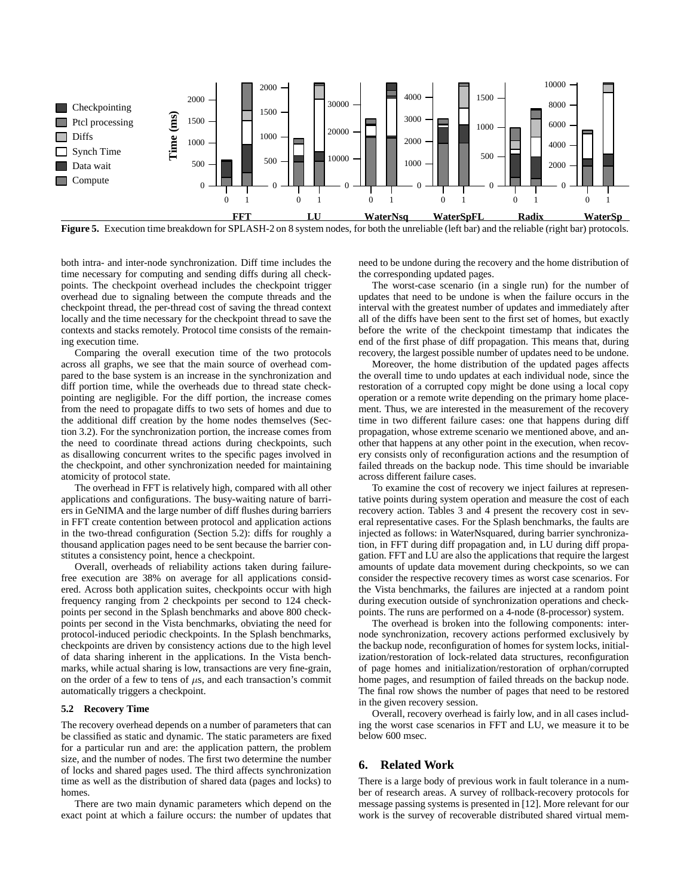

Figure 5. Execution time breakdown for SPLASH-2 on 8 system nodes, for both the unreliable (left bar) and the reliable (right bar) protocols.

both intra- and inter-node synchronization. Diff time includes the time necessary for computing and sending diffs during all checkpoints. The checkpoint overhead includes the checkpoint trigger overhead due to signaling between the compute threads and the checkpoint thread, the per-thread cost of saving the thread context locally and the time necessary for the checkpoint thread to save the contexts and stacks remotely. Protocol time consists of the remaining execution time.

Comparing the overall execution time of the two protocols across all graphs, we see that the main source of overhead compared to the base system is an increase in the synchronization and diff portion time, while the overheads due to thread state checkpointing are negligible. For the diff portion, the increase comes from the need to propagate diffs to two sets of homes and due to the additional diff creation by the home nodes themselves (Section 3.2). For the synchronization portion, the increase comes from the need to coordinate thread actions during checkpoints, such as disallowing concurrent writes to the specific pages involved in the checkpoint, and other synchronization needed for maintaining atomicity of protocol state.

The overhead in FFT is relatively high, compared with all other applications and configurations. The busy-waiting nature of barriers in GeNIMA and the large number of diff flushes during barriers in FFT create contention between protocol and application actions in the two-thread configuration (Section 5.2): diffs for roughly a thousand application pages need to be sent because the barrier constitutes a consistency point, hence a checkpoint.

Overall, overheads of reliability actions taken during failurefree execution are 38% on average for all applications considered. Across both application suites, checkpoints occur with high frequency ranging from 2 checkpoints per second to 124 checkpoints per second in the Splash benchmarks and above 800 checkpoints per second in the Vista benchmarks, obviating the need for protocol-induced periodic checkpoints. In the Splash benchmarks, checkpoints are driven by consistency actions due to the high level of data sharing inherent in the applications. In the Vista benchmarks, while actual sharing is low, transactions are very fine-grain, on the order of a few to tens of  $\mu$ s, and each transaction's commit automatically triggers a checkpoint.

## **5.2 Recovery Time**

The recovery overhead depends on a number of parameters that can be classified as static and dynamic. The static parameters are fixed for a particular run and are: the application pattern, the problem size, and the number of nodes. The first two determine the number of locks and shared pages used. The third affects synchronization time as well as the distribution of shared data (pages and locks) to homes.

There are two main dynamic parameters which depend on the exact point at which a failure occurs: the number of updates that need to be undone during the recovery and the home distribution of the corresponding updated pages.

The worst-case scenario (in a single run) for the number of updates that need to be undone is when the failure occurs in the interval with the greatest number of updates and immediately after all of the diffs have been sent to the first set of homes, but exactly before the write of the checkpoint timestamp that indicates the end of the first phase of diff propagation. This means that, during recovery, the largest possible number of updates need to be undone.

Moreover, the home distribution of the updated pages affects the overall time to undo updates at each individual node, since the restoration of a corrupted copy might be done using a local copy operation or a remote write depending on the primary home placement. Thus, we are interested in the measurement of the recovery time in two different failure cases: one that happens during diff propagation, whose extreme scenario we mentioned above, and another that happens at any other point in the execution, when recovery consists only of reconfiguration actions and the resumption of failed threads on the backup node. This time should be invariable across different failure cases.

To examine the cost of recovery we inject failures at representative points during system operation and measure the cost of each recovery action. Tables 3 and 4 present the recovery cost in several representative cases. For the Splash benchmarks, the faults are injected as follows: in WaterNsquared, during barrier synchronization, in FFT during diff propagation and, in LU during diff propagation. FFT and LU are also the applications that require the largest amounts of update data movement during checkpoints, so we can consider the respective recovery times as worst case scenarios. For the Vista benchmarks, the failures are injected at a random point during execution outside of synchronization operations and checkpoints. The runs are performed on a 4-node (8-processor) system.

The overhead is broken into the following components: internode synchronization, recovery actions performed exclusively by the backup node, reconfiguration of homes for system locks, initialization/restoration of lock-related data structures, reconfiguration of page homes and initialization/restoration of orphan/corrupted home pages, and resumption of failed threads on the backup node. The final row shows the number of pages that need to be restored in the given recovery session.

Overall, recovery overhead is fairly low, and in all cases including the worst case scenarios in FFT and LU, we measure it to be below 600 msec.

# **6. Related Work**

There is a large body of previous work in fault tolerance in a number of research areas. A survey of rollback-recovery protocols for message passing systems is presented in [12]. More relevant for our work is the survey of recoverable distributed shared virtual mem-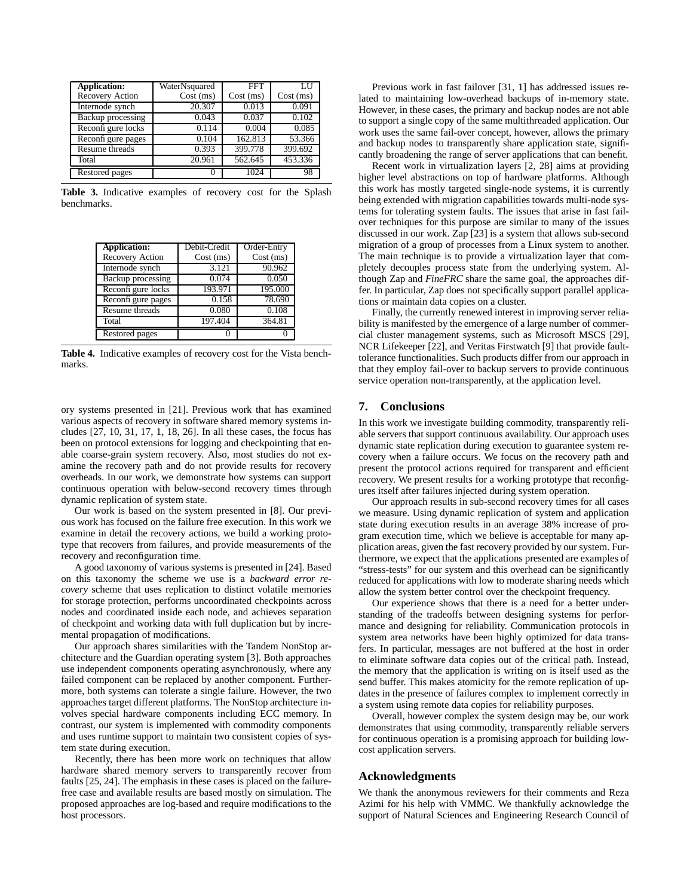| <b>Application:</b> | WaterNsquared | FFT       | LU        |
|---------------------|---------------|-----------|-----------|
| Recovery Action     | Cost (ms)     | Cost (ms) | Cost (ms) |
| Internode synch     | 20.307        | 0.013     | 0.091     |
| Backup processing   | 0.043         | 0.037     | 0.102     |
| Reconfi gure locks  | 0.114         | 0.004     | 0.085     |
| Reconfi gure pages  | 0.104         | 162.813   | 53.366    |
| Resume threads      | 0.393         | 399.778   | 399.692   |
| Total               | 20.961        | 562.645   | 453.336   |
| Restored pages      |               | 1024      | 98        |

**Table 3.** Indicative examples of recovery cost for the Splash benchmarks.

| <b>Application:</b> | Debit-Credit | Order-Entry |
|---------------------|--------------|-------------|
| Recovery Action     | Cost (ms)    | Cost (ms)   |
| Internode synch     | 3.121        | 90.962      |
| Backup processing   | 0.074        | 0.050       |
| Reconfi gure locks  | 193.971      | 195.000     |
| Reconfi gure pages  | 0.158        | 78.690      |
| Resume threads      | 0.080        | 0.108       |
| Total               | 197.404      | 364.81      |
| Restored pages      |              |             |

**Table 4.** Indicative examples of recovery cost for the Vista benchmarks.

ory systems presented in [21]. Previous work that has examined various aspects of recovery in software shared memory systems includes [27, 10, 31, 17, 1, 18, 26]. In all these cases, the focus has been on protocol extensions for logging and checkpointing that enable coarse-grain system recovery. Also, most studies do not examine the recovery path and do not provide results for recovery overheads. In our work, we demonstrate how systems can support continuous operation with below-second recovery times through dynamic replication of system state.

Our work is based on the system presented in [8]. Our previous work has focused on the failure free execution. In this work we examine in detail the recovery actions, we build a working prototype that recovers from failures, and provide measurements of the recovery and reconfiguration time.

A good taxonomy of various systems is presented in [24]. Based on this taxonomy the scheme we use is a *backward error recovery* scheme that uses replication to distinct volatile memories for storage protection, performs uncoordinated checkpoints across nodes and coordinated inside each node, and achieves separation of checkpoint and working data with full duplication but by incremental propagation of modifications.

Our approach shares similarities with the Tandem NonStop architecture and the Guardian operating system [3]. Both approaches use independent components operating asynchronously, where any failed component can be replaced by another component. Furthermore, both systems can tolerate a single failure. However, the two approaches target different platforms. The NonStop architecture involves special hardware components including ECC memory. In contrast, our system is implemented with commodity components and uses runtime support to maintain two consistent copies of system state during execution.

Recently, there has been more work on techniques that allow hardware shared memory servers to transparently recover from faults [25, 24]. The emphasis in these cases is placed on the failurefree case and available results are based mostly on simulation. The proposed approaches are log-based and require modifications to the host processors.

Previous work in fast failover [31, 1] has addressed issues related to maintaining low-overhead backups of in-memory state. However, in these cases, the primary and backup nodes are not able to support a single copy of the same multithreaded application. Our work uses the same fail-over concept, however, allows the primary and backup nodes to transparently share application state, significantly broadening the range of server applications that can benefit.

Recent work in virtualization layers [2, 28] aims at providing higher level abstractions on top of hardware platforms. Although this work has mostly targeted single-node systems, it is currently being extended with migration capabilities towards multi-node systems for tolerating system faults. The issues that arise in fast failover techniques for this purpose are similar to many of the issues discussed in our work. Zap [23] is a system that allows sub-second migration of a group of processes from a Linux system to another. The main technique is to provide a virtualization layer that completely decouples process state from the underlying system. Although Zap and *FineFRC* share the same goal, the approaches differ. In particular, Zap does not specifically support parallel applications or maintain data copies on a cluster.

Finally, the currently renewed interest in improving server reliability is manifested by the emergence of a large number of commercial cluster management systems, such as Microsoft MSCS [29], NCR Lifekeeper [22], and Veritas Firstwatch [9] that provide faulttolerance functionalities. Such products differ from our approach in that they employ fail-over to backup servers to provide continuous service operation non-transparently, at the application level.

### **7. Conclusions**

In this work we investigate building commodity, transparently reliable servers that support continuous availability. Our approach uses dynamic state replication during execution to guarantee system recovery when a failure occurs. We focus on the recovery path and present the protocol actions required for transparent and efficient recovery. We present results for a working prototype that reconfigures itself after failures injected during system operation.

Our approach results in sub-second recovery times for all cases we measure. Using dynamic replication of system and application state during execution results in an average 38% increase of program execution time, which we believe is acceptable for many application areas, given the fast recovery provided by our system. Furthermore, we expect that the applications presented are examples of "stress-tests" for our system and this overhead can be significantly reduced for applications with low to moderate sharing needs which allow the system better control over the checkpoint frequency.

Our experience shows that there is a need for a better understanding of the tradeoffs between designing systems for performance and designing for reliability. Communication protocols in system area networks have been highly optimized for data transfers. In particular, messages are not buffered at the host in order to eliminate software data copies out of the critical path. Instead, the memory that the application is writing on is itself used as the send buffer. This makes atomicity for the remote replication of updates in the presence of failures complex to implement correctly in a system using remote data copies for reliability purposes.

Overall, however complex the system design may be, our work demonstrates that using commodity, transparently reliable servers for continuous operation is a promising approach for building lowcost application servers.

## **Acknowledgments**

We thank the anonymous reviewers for their comments and Reza Azimi for his help with VMMC. We thankfully acknowledge the support of Natural Sciences and Engineering Research Council of